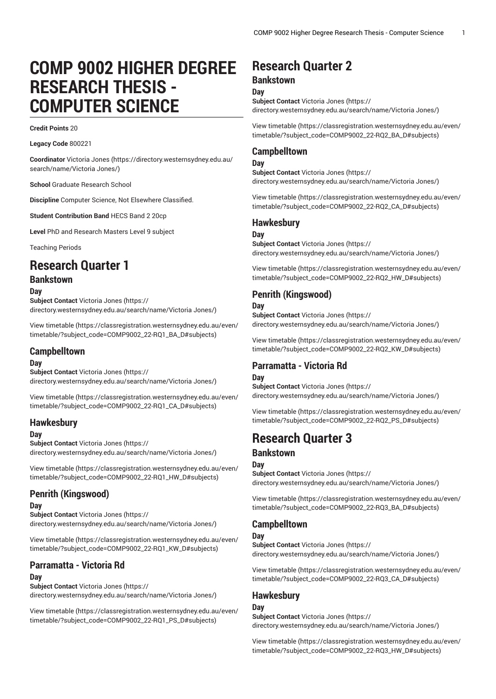# **COMP 9002 HIGHER DEGREE RESEARCH THESIS - COMPUTER SCIENCE**

#### **Credit Points** 20

**Legacy Code** 800221

**Coordinator** [Victoria Jones](https://directory.westernsydney.edu.au/search/name/Victoria Jones/) ([https://directory.westernsydney.edu.au/](https://directory.westernsydney.edu.au/search/name/Victoria Jones/) [search/name/Victoria](https://directory.westernsydney.edu.au/search/name/Victoria Jones/) Jones/)

**School** Graduate Research School

**Discipline** Computer Science, Not Elsewhere Classified.

**Student Contribution Band** HECS Band 2 20cp

**Level** PhD and Research Masters Level 9 subject

Teaching Periods

## **Research Quarter 1**

## **Bankstown**

**Day**

**Subject Contact** [Victoria Jones](https://directory.westernsydney.edu.au/search/name/Victoria Jones/) ([https://](https://directory.westernsydney.edu.au/search/name/Victoria Jones/) [directory.westernsydney.edu.au/search/name/Victoria](https://directory.westernsydney.edu.au/search/name/Victoria Jones/) Jones/)

[View timetable](https://classregistration.westernsydney.edu.au/even/timetable/?subject_code=COMP9002_22-RQ1_BA_D#subjects) ([https://classregistration.westernsydney.edu.au/even/](https://classregistration.westernsydney.edu.au/even/timetable/?subject_code=COMP9002_22-RQ1_BA_D#subjects) [timetable/?subject\\_code=COMP9002\\_22-RQ1\\_BA\\_D#subjects](https://classregistration.westernsydney.edu.au/even/timetable/?subject_code=COMP9002_22-RQ1_BA_D#subjects))

### **Campbelltown**

#### **Day**

**Subject Contact** [Victoria Jones](https://directory.westernsydney.edu.au/search/name/Victoria Jones/) ([https://](https://directory.westernsydney.edu.au/search/name/Victoria Jones/) [directory.westernsydney.edu.au/search/name/Victoria](https://directory.westernsydney.edu.au/search/name/Victoria Jones/) Jones/)

[View timetable](https://classregistration.westernsydney.edu.au/even/timetable/?subject_code=COMP9002_22-RQ1_CA_D#subjects) ([https://classregistration.westernsydney.edu.au/even/](https://classregistration.westernsydney.edu.au/even/timetable/?subject_code=COMP9002_22-RQ1_CA_D#subjects) [timetable/?subject\\_code=COMP9002\\_22-RQ1\\_CA\\_D#subjects](https://classregistration.westernsydney.edu.au/even/timetable/?subject_code=COMP9002_22-RQ1_CA_D#subjects))

## **Hawkesbury**

#### **Day**

**Subject Contact** [Victoria Jones](https://directory.westernsydney.edu.au/search/name/Victoria Jones/) ([https://](https://directory.westernsydney.edu.au/search/name/Victoria Jones/) [directory.westernsydney.edu.au/search/name/Victoria](https://directory.westernsydney.edu.au/search/name/Victoria Jones/) Jones/)

[View timetable](https://classregistration.westernsydney.edu.au/even/timetable/?subject_code=COMP9002_22-RQ1_HW_D#subjects) ([https://classregistration.westernsydney.edu.au/even/](https://classregistration.westernsydney.edu.au/even/timetable/?subject_code=COMP9002_22-RQ1_HW_D#subjects) [timetable/?subject\\_code=COMP9002\\_22-RQ1\\_HW\\_D#subjects\)](https://classregistration.westernsydney.edu.au/even/timetable/?subject_code=COMP9002_22-RQ1_HW_D#subjects)

## **Penrith (Kingswood)**

#### **Day**

**Subject Contact** [Victoria Jones](https://directory.westernsydney.edu.au/search/name/Victoria Jones/) ([https://](https://directory.westernsydney.edu.au/search/name/Victoria Jones/) [directory.westernsydney.edu.au/search/name/Victoria](https://directory.westernsydney.edu.au/search/name/Victoria Jones/) Jones/)

[View timetable](https://classregistration.westernsydney.edu.au/even/timetable/?subject_code=COMP9002_22-RQ1_KW_D#subjects) ([https://classregistration.westernsydney.edu.au/even/](https://classregistration.westernsydney.edu.au/even/timetable/?subject_code=COMP9002_22-RQ1_KW_D#subjects) [timetable/?subject\\_code=COMP9002\\_22-RQ1\\_KW\\_D#subjects](https://classregistration.westernsydney.edu.au/even/timetable/?subject_code=COMP9002_22-RQ1_KW_D#subjects))

## **Parramatta - Victoria Rd**

#### **Day**

**Subject Contact** [Victoria Jones](https://directory.westernsydney.edu.au/search/name/Victoria Jones/) ([https://](https://directory.westernsydney.edu.au/search/name/Victoria Jones/) [directory.westernsydney.edu.au/search/name/Victoria](https://directory.westernsydney.edu.au/search/name/Victoria Jones/) Jones/)

[View timetable](https://classregistration.westernsydney.edu.au/even/timetable/?subject_code=COMP9002_22-RQ1_PS_D#subjects) ([https://classregistration.westernsydney.edu.au/even/](https://classregistration.westernsydney.edu.au/even/timetable/?subject_code=COMP9002_22-RQ1_PS_D#subjects) [timetable/?subject\\_code=COMP9002\\_22-RQ1\\_PS\\_D#subjects](https://classregistration.westernsydney.edu.au/even/timetable/?subject_code=COMP9002_22-RQ1_PS_D#subjects))

## **Research Quarter 2**

#### **Bankstown**

**Day**

**Subject Contact** [Victoria Jones](https://directory.westernsydney.edu.au/search/name/Victoria Jones/) ([https://](https://directory.westernsydney.edu.au/search/name/Victoria Jones/) [directory.westernsydney.edu.au/search/name/Victoria](https://directory.westernsydney.edu.au/search/name/Victoria Jones/) Jones/)

[View timetable](https://classregistration.westernsydney.edu.au/even/timetable/?subject_code=COMP9002_22-RQ2_BA_D#subjects) [\(https://classregistration.westernsydney.edu.au/even/](https://classregistration.westernsydney.edu.au/even/timetable/?subject_code=COMP9002_22-RQ2_BA_D#subjects) [timetable/?subject\\_code=COMP9002\\_22-RQ2\\_BA\\_D#subjects\)](https://classregistration.westernsydney.edu.au/even/timetable/?subject_code=COMP9002_22-RQ2_BA_D#subjects)

## **Campbelltown**

**Day Subject Contact** [Victoria Jones](https://directory.westernsydney.edu.au/search/name/Victoria Jones/) ([https://](https://directory.westernsydney.edu.au/search/name/Victoria Jones/) [directory.westernsydney.edu.au/search/name/Victoria](https://directory.westernsydney.edu.au/search/name/Victoria Jones/) Jones/)

[View timetable](https://classregistration.westernsydney.edu.au/even/timetable/?subject_code=COMP9002_22-RQ2_CA_D#subjects) [\(https://classregistration.westernsydney.edu.au/even/](https://classregistration.westernsydney.edu.au/even/timetable/?subject_code=COMP9002_22-RQ2_CA_D#subjects)

[timetable/?subject\\_code=COMP9002\\_22-RQ2\\_CA\\_D#subjects\)](https://classregistration.westernsydney.edu.au/even/timetable/?subject_code=COMP9002_22-RQ2_CA_D#subjects)

## **Hawkesbury**

#### **Day**

**Subject Contact** [Victoria Jones](https://directory.westernsydney.edu.au/search/name/Victoria Jones/) ([https://](https://directory.westernsydney.edu.au/search/name/Victoria Jones/) [directory.westernsydney.edu.au/search/name/Victoria](https://directory.westernsydney.edu.au/search/name/Victoria Jones/) Jones/)

[View timetable](https://classregistration.westernsydney.edu.au/even/timetable/?subject_code=COMP9002_22-RQ2_HW_D#subjects) [\(https://classregistration.westernsydney.edu.au/even/](https://classregistration.westernsydney.edu.au/even/timetable/?subject_code=COMP9002_22-RQ2_HW_D#subjects) [timetable/?subject\\_code=COMP9002\\_22-RQ2\\_HW\\_D#subjects](https://classregistration.westernsydney.edu.au/even/timetable/?subject_code=COMP9002_22-RQ2_HW_D#subjects))

## **Penrith (Kingswood)**

#### **Day**

**Subject Contact** [Victoria Jones](https://directory.westernsydney.edu.au/search/name/Victoria Jones/) ([https://](https://directory.westernsydney.edu.au/search/name/Victoria Jones/) [directory.westernsydney.edu.au/search/name/Victoria](https://directory.westernsydney.edu.au/search/name/Victoria Jones/) Jones/)

[View timetable](https://classregistration.westernsydney.edu.au/even/timetable/?subject_code=COMP9002_22-RQ2_KW_D#subjects) [\(https://classregistration.westernsydney.edu.au/even/](https://classregistration.westernsydney.edu.au/even/timetable/?subject_code=COMP9002_22-RQ2_KW_D#subjects) [timetable/?subject\\_code=COMP9002\\_22-RQ2\\_KW\\_D#subjects\)](https://classregistration.westernsydney.edu.au/even/timetable/?subject_code=COMP9002_22-RQ2_KW_D#subjects)

## **Parramatta - Victoria Rd**

## **Day**

**Subject Contact** [Victoria Jones](https://directory.westernsydney.edu.au/search/name/Victoria Jones/) ([https://](https://directory.westernsydney.edu.au/search/name/Victoria Jones/) [directory.westernsydney.edu.au/search/name/Victoria](https://directory.westernsydney.edu.au/search/name/Victoria Jones/) Jones/)

[View timetable](https://classregistration.westernsydney.edu.au/even/timetable/?subject_code=COMP9002_22-RQ2_PS_D#subjects) [\(https://classregistration.westernsydney.edu.au/even/](https://classregistration.westernsydney.edu.au/even/timetable/?subject_code=COMP9002_22-RQ2_PS_D#subjects) [timetable/?subject\\_code=COMP9002\\_22-RQ2\\_PS\\_D#subjects\)](https://classregistration.westernsydney.edu.au/even/timetable/?subject_code=COMP9002_22-RQ2_PS_D#subjects)

## **Research Quarter 3**

## **Bankstown**

#### **Day**

**Subject Contact** [Victoria Jones](https://directory.westernsydney.edu.au/search/name/Victoria Jones/) ([https://](https://directory.westernsydney.edu.au/search/name/Victoria Jones/) [directory.westernsydney.edu.au/search/name/Victoria](https://directory.westernsydney.edu.au/search/name/Victoria Jones/) Jones/)

[View timetable](https://classregistration.westernsydney.edu.au/even/timetable/?subject_code=COMP9002_22-RQ3_BA_D#subjects) [\(https://classregistration.westernsydney.edu.au/even/](https://classregistration.westernsydney.edu.au/even/timetable/?subject_code=COMP9002_22-RQ3_BA_D#subjects) [timetable/?subject\\_code=COMP9002\\_22-RQ3\\_BA\\_D#subjects\)](https://classregistration.westernsydney.edu.au/even/timetable/?subject_code=COMP9002_22-RQ3_BA_D#subjects)

## **Campbelltown**

#### **Day**

**Subject Contact** [Victoria Jones](https://directory.westernsydney.edu.au/search/name/Victoria Jones/) ([https://](https://directory.westernsydney.edu.au/search/name/Victoria Jones/) [directory.westernsydney.edu.au/search/name/Victoria](https://directory.westernsydney.edu.au/search/name/Victoria Jones/) Jones/)

[View timetable](https://classregistration.westernsydney.edu.au/even/timetable/?subject_code=COMP9002_22-RQ3_CA_D#subjects) [\(https://classregistration.westernsydney.edu.au/even/](https://classregistration.westernsydney.edu.au/even/timetable/?subject_code=COMP9002_22-RQ3_CA_D#subjects) [timetable/?subject\\_code=COMP9002\\_22-RQ3\\_CA\\_D#subjects\)](https://classregistration.westernsydney.edu.au/even/timetable/?subject_code=COMP9002_22-RQ3_CA_D#subjects)

## **Hawkesbury**

**Day Subject Contact** [Victoria Jones](https://directory.westernsydney.edu.au/search/name/Victoria Jones/) ([https://](https://directory.westernsydney.edu.au/search/name/Victoria Jones/) [directory.westernsydney.edu.au/search/name/Victoria](https://directory.westernsydney.edu.au/search/name/Victoria Jones/) Jones/)

[View timetable](https://classregistration.westernsydney.edu.au/even/timetable/?subject_code=COMP9002_22-RQ3_HW_D#subjects) [\(https://classregistration.westernsydney.edu.au/even/](https://classregistration.westernsydney.edu.au/even/timetable/?subject_code=COMP9002_22-RQ3_HW_D#subjects) [timetable/?subject\\_code=COMP9002\\_22-RQ3\\_HW\\_D#subjects](https://classregistration.westernsydney.edu.au/even/timetable/?subject_code=COMP9002_22-RQ3_HW_D#subjects))